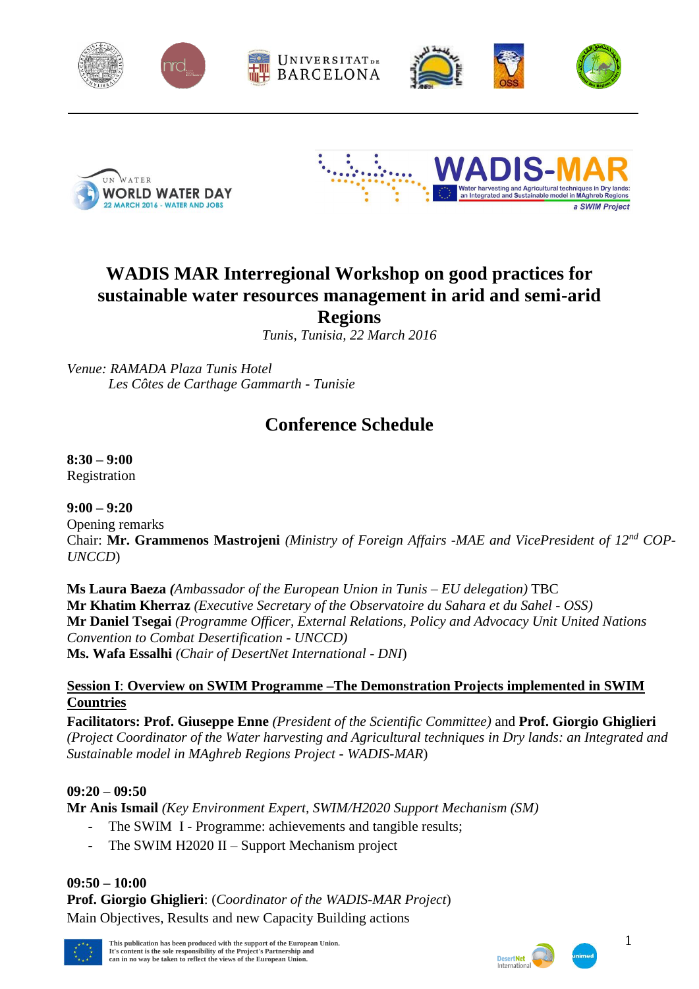





# **WADIS MAR Interregional Workshop on good practices for sustainable water resources management in arid and semi-arid Regions**

*Tunis, Tunisia, 22 March 2016*

*Venue: RAMADA Plaza Tunis Hotel Les Côtes de Carthage Gammarth - Tunisie*

## **Conference Schedule**

**8:30 – 9:00** Registration

## **9:00 – 9:20**

Opening remarks Chair: **Mr. Grammenos Mastrojeni** *(Ministry of Foreign Affairs -MAE and VicePresident of 12nd COP-UNCCD*)

**Ms Laura Baeza** *(Ambassador of the European Union in Tunis – EU delegation)* TBC **Mr Khatim Kherraz** *(Executive Secretary of the Observatoire du Sahara et du Sahel - OSS)* **Mr Daniel Tsegai** *(Programme Officer, External Relations, Policy and Advocacy Unit United Nations Convention to Combat Desertification - UNCCD)* **Ms. Wafa Essalhi** *(Chair of DesertNet International - DNI*)

#### **Session I**: **Overview on SWIM Programme –The Demonstration Projects implemented in SWIM Countries**

**Facilitators: Prof. Giuseppe Enne** *(President of the Scientific Committee)* and **Prof. Giorgio Ghiglieri** *(Project Coordinator of the Water harvesting and Agricultural techniques in Dry lands: an Integrated and Sustainable model in MAghreb Regions Project* - *WADIS-MAR*)

#### **09:20 – 09:50**

**Mr Anis Ismail** *(Key Environment Expert, SWIM/H2020 Support Mechanism (SM)*

- The SWIM I Programme: achievements and tangible results;
- **-** The SWIM H2020 II Support Mechanism project

#### **09:50 – 10:00**

**Prof. Giorgio Ghiglieri**: (*Coordinator of the WADIS-MAR Project*) Main Objectives, Results and new Capacity Building actions





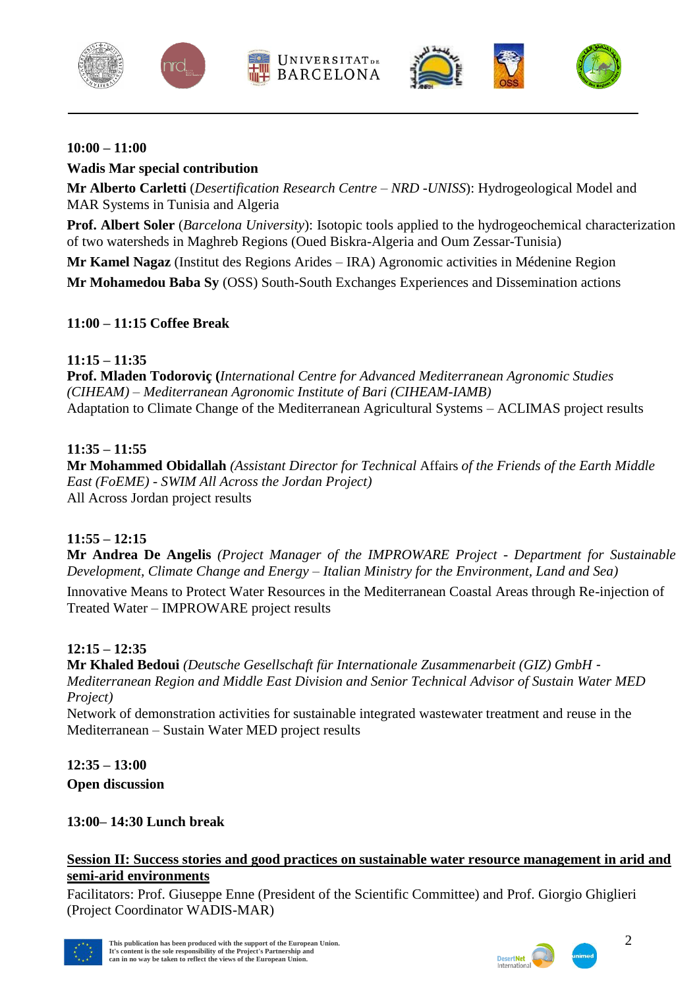









#### **10:00 – 11:00**

## **Wadis Mar special contribution**

**Mr Alberto Carletti** (*Desertification Research Centre – NRD -UNISS*): Hydrogeological Model and MAR Systems in Tunisia and Algeria

**Prof. Albert Soler** (*Barcelona University*): Isotopic tools applied to the hydrogeochemical characterization of two watersheds in Maghreb Regions (Oued Biskra-Algeria and Oum Zessar-Tunisia)

**Mr Kamel Nagaz** (Institut des Regions Arides – IRA) Agronomic activities in Médenine Region **Mr Mohamedou Baba Sy** (OSS) South-South Exchanges Experiences and Dissemination actions

#### **11:00 – 11:15 Coffee Break**

### **11:15 – 11:35**

**Prof. Mladen Todoroviç (***International Centre for Advanced Mediterranean Agronomic Studies (CIHEAM) – Mediterranean Agronomic Institute of Bari (CIHEAM-IAMB)* Adaptation to Climate Change of the Mediterranean Agricultural Systems – ACLIMAS project results

### **11:35 – 11:55**

**Mr Mohammed Obidallah** *(Assistant Director for Technical* Affairs *of the Friends of the Earth Middle East (FoEME) - SWIM All Across the Jordan Project)* All Across Jordan project results

## **11:55 – 12:15**

**Mr Andrea De Angelis** *(Project Manager of the IMPROWARE Project - Department for Sustainable Development, Climate Change and Energy – Italian Ministry for the Environment, Land and Sea)*

Innovative Means to Protect Water Resources in the Mediterranean Coastal Areas through Re-injection of Treated Water – IMPROWARE project results

#### **12:15 – 12:35**

**Mr Khaled Bedoui** *(Deutsche Gesellschaft für Internationale Zusammenarbeit (GIZ) GmbH - Mediterranean Region and Middle East Division and Senior Technical Advisor of Sustain Water MED Project)*

Network of demonstration activities for sustainable integrated wastewater treatment and reuse in the Mediterranean – Sustain Water MED project results

**12:35 – 13:00 Open discussion**

## **13:00– 14:30 Lunch break**

#### **Session II: Success stories and good practices on sustainable water resource management in arid and semi-arid environments**

Facilitators: Prof. Giuseppe Enne (President of the Scientific Committee) and Prof. Giorgio Ghiglieri (Project Coordinator WADIS-MAR)